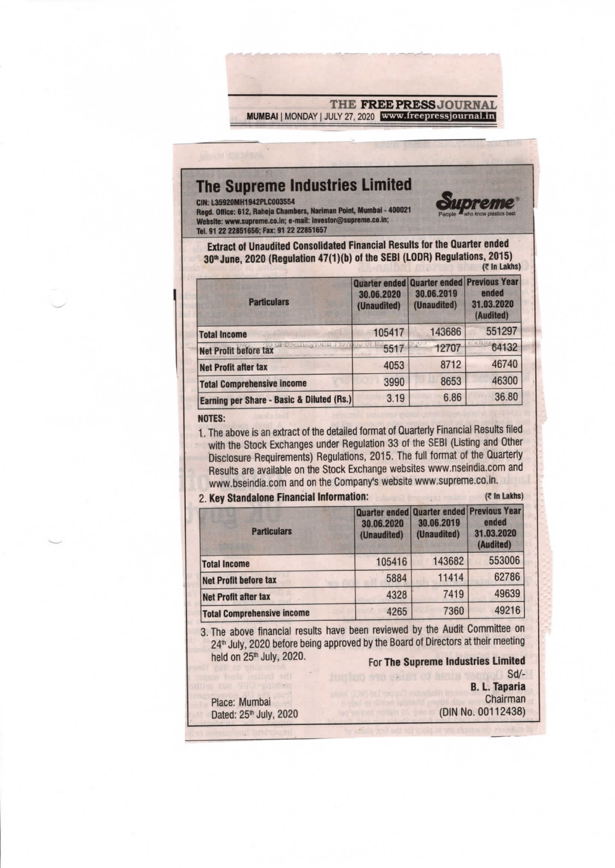THE FREE PRESS JOURNAL MUMBAI | MONDAY | JULY 27, 2020 www.freepressjournal.in

## The Supreme Industries Limited

CIN: L35920MH1942PLC003554

Regd. Office: 612, Raheja Chambers, Nariman Point, Mumbai - 400021 Website: www.supreme.co.in; e-mail: investor@supreme.co.in; Tel. 91 22 22851656; Fax: 91 22 22851657



| <b>Particulars</b>                                | 30.06.2020<br>(Unaudited) | Quarter ended Quarter ended Previous Year<br>30.06.2019<br>(Unaudited) | ended<br>31.03.2020<br>(Audited) |
|---------------------------------------------------|---------------------------|------------------------------------------------------------------------|----------------------------------|
| <b>Total Income</b>                               | 105417                    | 143686                                                                 | 551297                           |
| DUCLING TOTH J 15<br><b>Net Profit before tax</b> | 5517                      | 12707                                                                  | 64132                            |
| <b>Net Profit after tax</b>                       | 4053                      | 8712                                                                   | 46740                            |
| <b>Total Comprehensive income</b>                 | 3990                      | 8653                                                                   | 46300                            |
| Earning per Share - Basic & Diluted (Rs.)         | 3.19                      | 6.86                                                                   | 36.80                            |

**NOTES:** 

1. The above is an extract of the detailed format of Quarterly Financial Results filed with the Stock Exchanges under Regulation 33 of the SEBI (Listing and Other Disclosure Requirements) Regulations, 2015. The full format of the Quarterly Results are available on the Stock Exchange websites www.nseindia.com and www.bseindia.com and on the Company's website www.supreme.co.in.

## 2 Key Standalone Financial Information:

 $(7 \ln$  Lakhs)

| <b>Particulars</b>                | 30.06.2020<br>(Unaudited) | Quarter ended Quarter ended Previous Year<br>30.06.2019<br>(Unaudited) | ended<br>31.03.2020<br>(Audited) |
|-----------------------------------|---------------------------|------------------------------------------------------------------------|----------------------------------|
| <b>Total Income</b>               | 105416                    | 143682                                                                 | 553006                           |
| <b>Net Profit before tax</b>      | 5884                      | 11414                                                                  | 62786                            |
| <b>Net Profit after tax</b>       | 4328                      | 7419                                                                   | 49639                            |
| <b>Total Comprehensive income</b> | 4265                      | 7360                                                                   | 49216                            |

3. The above financial results have been reviewed by the Audit Committee on 24<sup>th</sup> July, 2020 before being approved by the Board of Directors at their meeting held on 25<sup>th</sup> July, 2020.

For The Supreme Industries Limited

 $Sd$ HOZUQ 830 SREET OF BITTIN E **B. L. Taparia** Chairman (DIN No. 00112438)

Place: Mumbai Dated: 25<sup>th</sup> July, 2020